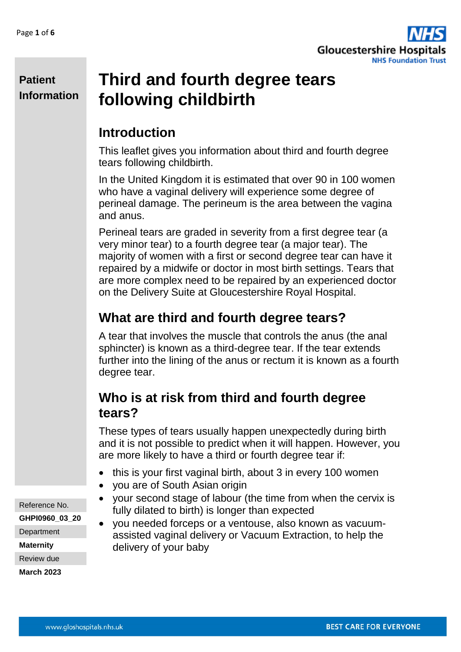

# **Third and fourth degree tears following childbirth**

### **Introduction**

This leaflet gives you information about third and fourth degree tears following childbirth.

In the United Kingdom it is estimated that over 90 in 100 women who have a vaginal delivery will experience some degree of perineal damage. The perineum is the area between the vagina and anus.

Perineal tears are graded in severity from a first degree tear (a very minor tear) to a fourth degree tear (a major tear). The majority of women with a first or second degree tear can have it repaired by a midwife or doctor in most birth settings. Tears that are more complex need to be repaired by an experienced doctor on the Delivery Suite at Gloucestershire Royal Hospital.

## **What are third and fourth degree tears?**

A tear that involves the muscle that controls the anus (the anal sphincter) is known as a third-degree tear. If the tear extends further into the lining of the anus or rectum it is known as a fourth degree tear.

### **Who is at risk from third and fourth degree tears?**

These types of tears usually happen unexpectedly during birth and it is not possible to predict when it will happen. However, you are more likely to have a third or fourth degree tear if:

- this is your first vaginal birth, about 3 in every 100 women
- you are of South Asian origin
- your second stage of labour (the time from when the cervix is fully dilated to birth) is longer than expected
- you needed forceps or a ventouse, also known as vacuumassisted vaginal delivery or Vacuum Extraction, to help the delivery of your baby

Reference No. **GHPI0960\_03\_20**

**Department** 

**Maternity**

Review due

**March 2023**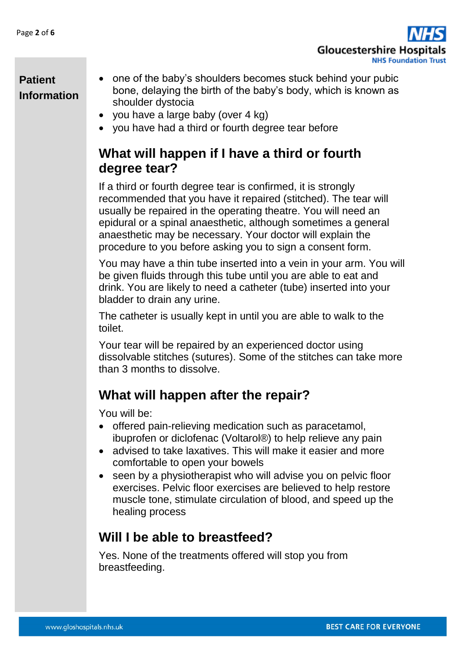

- one of the baby's shoulders becomes stuck behind your pubic bone, delaying the birth of the baby's body, which is known as shoulder dystocia
	- vou have a large baby (over 4 kg)
	- you have had a third or fourth degree tear before

### **What will happen if I have a third or fourth degree tear?**

If a third or fourth degree tear is confirmed, it is strongly recommended that you have it repaired (stitched). The tear will usually be repaired in the operating theatre. You will need an epidural or a spinal anaesthetic, although sometimes a general anaesthetic may be necessary. Your doctor will explain the procedure to you before asking you to sign a consent form.

You may have a thin tube inserted into a vein in your arm. You will be given fluids through this tube until you are able to eat and drink. You are likely to need a catheter (tube) inserted into your bladder to drain any urine.

The catheter is usually kept in until you are able to walk to the toilet.

Your tear will be repaired by an experienced doctor using dissolvable stitches (sutures). Some of the stitches can take more than 3 months to dissolve.

### **What will happen after the repair?**

You will be:

- offered pain-relieving medication such as paracetamol, ibuprofen or diclofenac (Voltarol®) to help relieve any pain
- advised to take laxatives. This will make it easier and more comfortable to open your bowels
- seen by a physiotherapist who will advise you on pelvic floor exercises. Pelvic floor exercises are believed to help restore muscle tone, stimulate circulation of blood, and speed up the healing process

#### **Will I be able to breastfeed?**

Yes. None of the treatments offered will stop you from breastfeeding.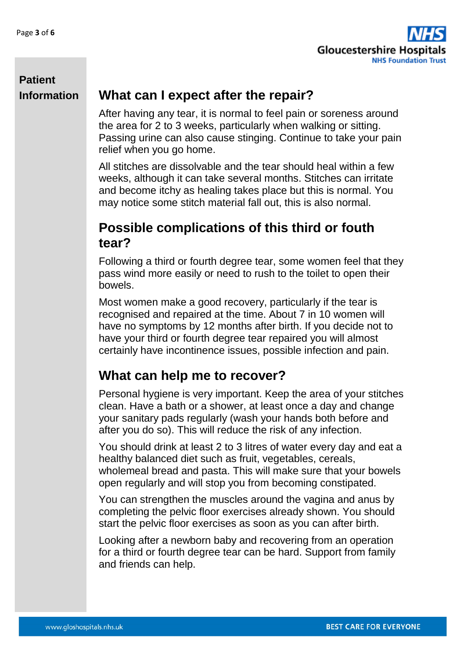

#### **What can I expect after the repair?**

After having any tear, it is normal to feel pain or soreness around the area for 2 to 3 weeks, particularly when walking or sitting. Passing urine can also cause stinging. Continue to take your pain relief when you go home.

All stitches are dissolvable and the tear should heal within a few weeks, although it can take several months. Stitches can irritate and become itchy as healing takes place but this is normal. You may notice some stitch material fall out, this is also normal.

#### **Possible complications of this third or fouth tear?**

Following a third or fourth degree tear, some women feel that they pass wind more easily or need to rush to the toilet to open their bowels.

Most women make a good recovery, particularly if the tear is recognised and repaired at the time. About 7 in 10 women will have no symptoms by 12 months after birth. If you decide not to have your third or fourth degree tear repaired you will almost certainly have incontinence issues, possible infection and pain.

### **What can help me to recover?**

Personal hygiene is very important. Keep the area of your stitches clean. Have a bath or a shower, at least once a day and change your sanitary pads regularly (wash your hands both before and after you do so). This will reduce the risk of any infection.

You should drink at least 2 to 3 litres of water every day and eat a healthy balanced diet such as fruit, vegetables, cereals, wholemeal bread and pasta. This will make sure that your bowels open regularly and will stop you from becoming constipated.

You can strengthen the muscles around the vagina and anus by completing the pelvic floor exercises already shown. You should start the pelvic floor exercises as soon as you can after birth.

Looking after a newborn baby and recovering from an operation for a third or fourth degree tear can be hard. Support from family and friends can help.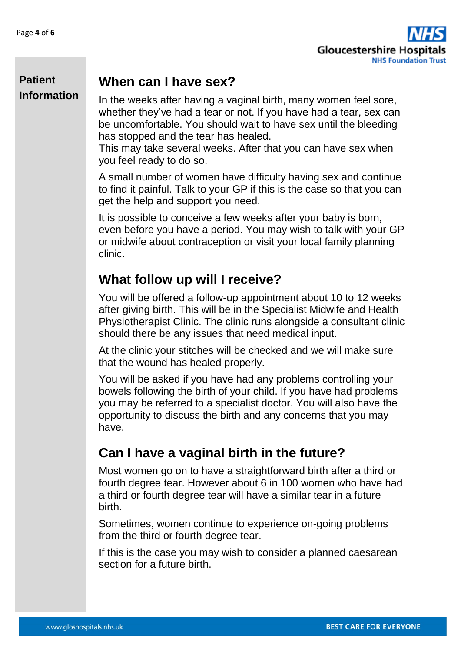

### **When can I have sex?**

In the weeks after having a vaginal birth, many women feel sore, whether they've had a tear or not. If you have had a tear, sex can be uncomfortable. You should wait to have sex until the bleeding has stopped and the tear has healed.

This may take several weeks. After that you can have sex when you feel ready to do so.

A small number of women have difficulty having sex and continue to find it painful. Talk to your GP if this is the case so that you can get the help and support you need.

It is possible to conceive a few weeks after your baby is born, even before you have a period. You may wish to talk with your GP or midwife about contraception or visit your local family planning clinic.

## **What follow up will I receive?**

You will be offered a follow-up appointment about 10 to 12 weeks after giving birth. This will be in the Specialist Midwife and Health Physiotherapist Clinic. The clinic runs alongside a consultant clinic should there be any issues that need medical input.

At the clinic your stitches will be checked and we will make sure that the wound has healed properly.

You will be asked if you have had any problems controlling your bowels following the birth of your child. If you have had problems you may be referred to a specialist doctor. You will also have the opportunity to discuss the birth and any concerns that you may have.

## **Can I have a vaginal birth in the future?**

Most women go on to have a straightforward birth after a third or fourth degree tear. However about 6 in 100 women who have had a third or fourth degree tear will have a similar tear in a future birth.

Sometimes, women continue to experience on-going problems from the third or fourth degree tear.

If this is the case you may wish to consider a planned caesarean section for a future birth.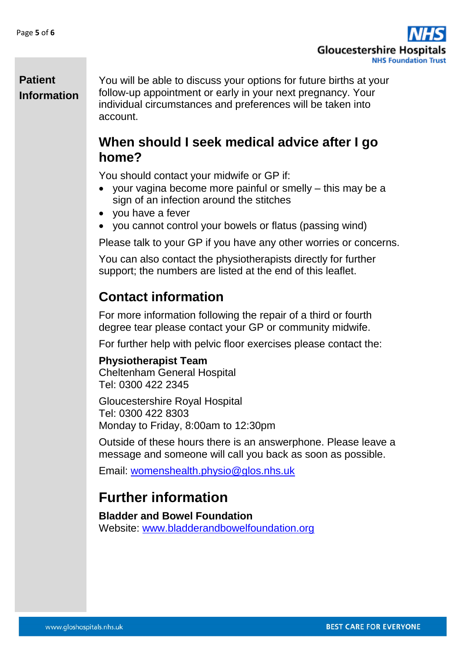

You will be able to discuss your options for future births at your follow-up appointment or early in your next pregnancy. Your individual circumstances and preferences will be taken into account.

#### **When should I seek medical advice after I go home?**

You should contact your midwife or GP if:

- your vagina become more painful or smelly this may be a sign of an infection around the stitches
- you have a fever
- you cannot control your bowels or flatus (passing wind)

Please talk to your GP if you have any other worries or concerns.

You can also contact the physiotherapists directly for further support; the numbers are listed at the end of this leaflet.

### **Contact information**

For more information following the repair of a third or fourth degree tear please contact your GP or community midwife.

For further help with pelvic floor exercises please contact the:

#### **Physiotherapist Team**

Cheltenham General Hospital Tel: 0300 422 2345

Gloucestershire Royal Hospital Tel: 0300 422 8303 Monday to Friday, 8:00am to 12:30pm

Outside of these hours there is an answerphone. Please leave a message and someone will call you back as soon as possible.

Email: [womenshealth.physio@glos.nhs.uk](mailto:womenshealth.physio@glos.nhs.uk)

### **Further information**

**Bladder and Bowel Foundation**  Website: [www.bladderandbowelfoundation.org](http://www.bladderandbowelfoundation.org/)